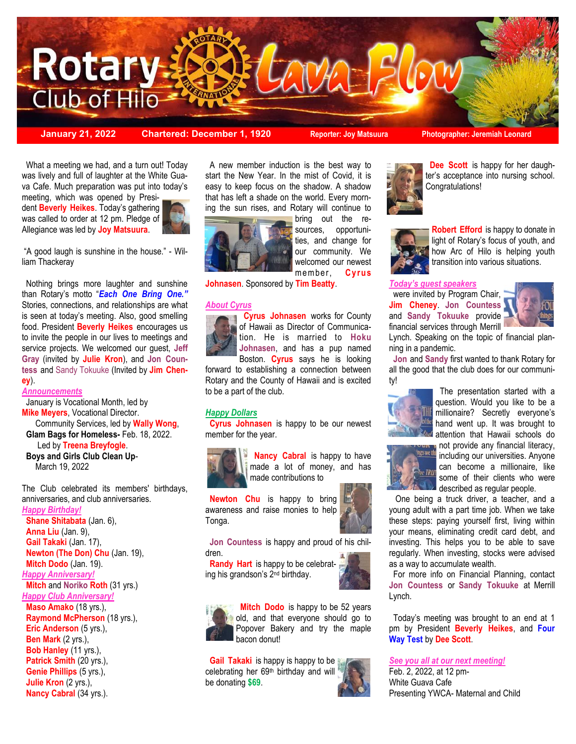

**January 21, 2022 Chartered: December 1, 1920 Reporter: Joy Matsuura Photographer: Jeremiah Leonard**

 What a meeting we had, and a turn out! Today was lively and full of laughter at the White Guava Cafe. Much preparation was put into today's

 dent **Beverly Heikes**. Today's gathering meeting, which was opened by Presiwas called to order at 12 pm. Pledge of Allegiance was led by **Joy Matsuura**.



"A good laugh is sunshine in the house." - William Thackeray

 Nothing brings more laughter and sunshine than Rotary's motto "*Each One Bring One."*  Stories, connections, and relationships are what is seen at today's meeting. Also, good smelling food. President **Beverly Heikes** encourages us to invite the people in our lives to meetings and service projects. We welcomed our guest, **Jeff Gray** (invited by **Julie Kron**), and **Jon Countess** and Sandy Tokuuke (Invited by **Jim Cheney**).

#### *Announcements*

 January is Vocational Month, led by **Mike Meyers**, Vocational Director. Community Services, led by **Wally Wong**,  **Glam Bags for Homeless-** Feb. 18, 2022. Led by **Treena Breyfogle**. **Boys and Girls Club Clean Up**-March 19, 2022

The Club celebrated its members' birthdays, anniversaries, and club anniversaries.

*Happy Birthday!* **Shane Shitabata** (Jan. 6), **Anna Liu** (Jan. 9), **Gail Takaki** (Jan. 17), **Newton (The Don) Chu** (Jan. 19), **Mitch Dodo** (Jan. 19). *Happy Anniversary!* **Mitch** and **Noriko Roth** (31 yrs.) *Happy Club Anniversary!* **Maso Amako** (18 yrs.), **Raymond McPherson** (18 yrs.), **Eric Anderson** (5 yrs.), **Ben Mark** (2 yrs.), **Bob Hanley** (11 yrs.), Patrick Smith (20 yrs.), **Genie Phillips** (5 yrs.), **Julie Kron** (2 yrs.), **Nancy Cabral** (34 yrs.).

 A new member induction is the best way to start the New Year. In the mist of Covid, it is easy to keep focus on the shadow. A shadow that has left a shade on the world. Every morning the sun rises, and Rotary will continue to



bring out the resources, opportunities, and change for our community. We welcomed our newest member, **Cy rus** 

**Johnasen**. Sponsored by **Tim Beatty**.

### *About Cyrus*



 **Cyrus Johnasen** works for County of Hawaii as Director of Communication. He is married to **Hoku Johnasen**, and has a pup named Boston. **Cyrus** says he is looking

forward to establishing a connection between Rotary and the County of Hawaii and is excited to be a part of the club.

### *Happy Dollars*

 **Cyrus Johnasen** is happy to be our newest member for the year.



 **Nancy Cabral** is happy to have made a lot of money, and has made contributions to

**Newton Chu** is happy to bring awareness and raise monies to help Tonga.



 **Jon Countess** is happy and proud of his children.

 **Randy Hart** is happy to be celebrating his grandson's 2nd birthday.





**Mitch Dodo** is happy to be 52 years old, and that everyone should go to Popover Bakery and try the maple bacon donut!

**Gail Takaki** is happy is happy to be celebrating her 69th birthday and will be donating **\$69**.





 **Dee Scott** is happy for her daughter's acceptance into nursing school. Congratulations!



**Robert Efford** is happy to donate in light of Rotary's focus of youth, and how Arc of Hilo is helping youth transition into various situations.

*Today's guest speakers* 

were invited by Program Chair. **Jim Cheney**. **Jon Countess**  and **Sandy Tokuuke** provide financial services through Merrill



Lynch. Speaking on the topic of financial planning in a pandemic.

 **Jon** and **Sandy** first wanted to thank Rotary for all the good that the club does for our community!



 The presentation started with a question. Would you like to be a millionaire? Secretly everyone's hand went up. It was brought to attention that Hawaii schools do

not provide any financial literacy, including our universities. Anyone can become a millionaire, like some of their clients who were described as regular people.

 One being a truck driver, a teacher, and a young adult with a part time job. When we take these steps: paying yourself first, living within your means, eliminating credit card debt, and investing. This helps you to be able to save regularly. When investing, stocks were advised as a way to accumulate wealth.

 For more info on Financial Planning, contact **Jon Countess** or **Sandy Tokuuke** at Merrill Lynch.

 Today's meeting was brought to an end at 1 pm by President **Beverly Heikes**, and **Four Way Test** by **Dee Scott**.

### *See you all at our next meeting!*

Feb. 2, 2022, at 12 pm-White Guava Cafe Presenting YWCA- Maternal and Child